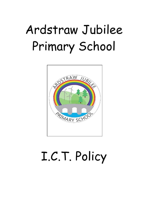# Ardstraw Jubilee Primary School



# I.C.T. Policy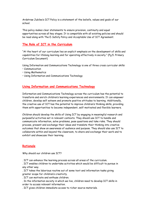Ardstraw Jubilee's ICT Policy is a statement of the beliefs, values and goals of our school.

This policy makes clear statements to ensure provision, continuity and equal opportunities across all key stages. It is compatible with all existing policies and should be read along with The E-Safety Policy and Acceptable Use of ICT Agreement.

# **The Role of ICT in the Curriculum**

"At the heart of our curriculum lies an explicit emphasis on the development of skills and capabilities for lifelong learning and for operating effectively in society." (Pg.5. Primary Curriculum Document)

Using Information and Communications Technology is one of three cross curricular skills:

- Communication
- Using Mathematics
- Using Information and Communications Technology

## **Using Information and Communications Technology**

Information and Communications Technology across the curriculum has the potential to transform and enrich children's learning experiences and environments. It can empower children, develop self esteem and promote positive attitudes to learning. Additionally, the creative use of ICT has the potential to improve children's thinking skills, providing them with opportunities to become independent, self-motivated and flexible learners.

Children should develop the skills of Using ICT by engaging in meaningful research and purposeful activities set in relevant contexts. They should use ICT to handle and communicate information, solve problems, pose questions and take risks. They should process, present and exchange their ideas and translate their thinking into creative outcomes that show an awareness of audience and purpose. They should also use ICT to collaborate within and beyond the classroom, to share and exchange their work and to exhibit and showcase their learning.

## **Rationale**

Why should our children use ICT?

. ICT can enhance the learning process across all areas of the curriculum.

. ICT enables children to undertake activities which would be difficult to pursue in any other way.

. ICT takes the laborious routine out of some text and information tasks giving greater scope for children's creativity.

. ICT can motivate and enthuse children.

. In the information society in which we live, children need to develop ICT skills in order to access relevant information.

. ICT gives children immediate access to richer source materials.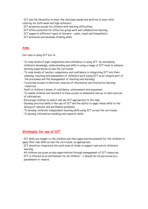. ICT has the flexibility to meet the individual needs and abilities of each child catering for both weak and high achievers.

- . ICT promotes access for children with learning difficulties.
- . ICT offers potential for effective group work and collaborative learning.
- . ICT supports different types of learners audio, visual and kinaesthetic.
- . ICT promotes and develops thinking skills.

## **Aims**

Our aims in using ICT are to:

- To raise levels of pupil competence and confidence in using ICT -by developing children's knowledge, understanding and skills in using a range of ICT tools to enhance learning experiences across the curriculum
- To raise levels of teacher competence and confidence in integrating ICT into their planning, teaching and assessment of children's work (using ICT as an integral part of the processes and the management of teaching and learning)
- To provide access to electronic sources of information and interactive learning resources
- Instil in children a sense of confidence, achievement and enjoyment.
- To enable children and teachers to have access to immediate and up-to-date sources of information.
- Encourage children to select and use ICT appropriate to the task.
- Develop practical skills in the use of ICT and the ability to apply these skills to the solving of relevant and worthwhile problems.
- To develop children's independent learning skills using ICT across the curriculum
- To develop information handling and research skills.

## **Strategies for use of ICT**

. ICT skills are taught to the children and then opportunities planned for the children to apply their new skills across the curriculum, as appropriate.

- . ICT should be integrated into each area of study to support and enrich children's learning.
- . All children are given access opportunities through management of ICT resources.
- . ICT is offered as an entitlement for all children it should not be perceived as a punishment or reward.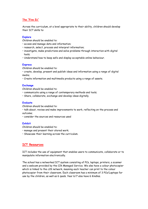## **The "Five Es"**

Across the curriculum, at a level appropriate to their ability, children should develop their ICT skills to:

#### **Explore**

Children should be enabled to:

- access and manage data and information;
- research, select, process and interpret information;
- investigate, make predictions and solve problems through interaction with digital tools;
- Understand how to keep safe and display acceptable online behaviour.

#### **Express**

Children should be enabled to:

• create, develop, present and publish ideas and information using a range of digital media;

• Create information and multimedia products using a range of assets.

#### **Exchange**

Children should be enabled to:

- communicate using a range of contemporary methods and tools;
- Share, collaborate, exchange and develop ideas digitally.

## **Evaluate**

Children should be enabled to:

- talk about, review and make improvements to work, reflecting on the process and outcome;
- consider the sources and resources used

## **Exhibit**

Children should be enabled to:

- manage and present their stored work;
- Showcase their learning across the curriculum.

## **ICT Resources**

ICT includes the use of equipment that enables users to communicate, collaborate or to manipulate information electronically.

The school has a networked ICT system consisting of PCs, laptops, printers, a scanner and a webcam provided by the C2k Managed Service. We also have a colour photocopier which is linked to the c2K network, meaning each teacher can print to the colour photocopier from their classroom. Each classroom has a minimum of 3 PCs/Laptops for use by the children, as well as 6 ipads. Year 6/7 also have 6 Kindles.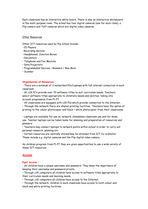Each classroom has an interactive white board. There is also an interactive whiteboard in the multi-purpose room. The school has four digital cameras (one for each class), a Flip camera and Tuff cameras which are digital video cameras.

#### Other Resources

Other ICT resources used by the school include:

- · CD Players
- · Recording devices
- · Headphones, Junction Boxes
- · Calculators
- Telephone and Fax Machine
- Data Projectors
- Programmable Devices Roamers / Bee-Bots
- Scanner

#### **Organisation of Resources**

• There are a minimum of 3 networked PCs/Laptops with full internet connection in each classroom.

• All c2K PC's provide over 70 software titles to suit curriculum needs. Teachers select software titles appropriate to children's needs and abilities, taking into account progression from P1-P7.

• All classrooms are equipped with c2K PCs which provide connection to the Internet.

• Through the network there are shared printing facilities. Teachers have the option of printing to the colour photocopier and black + white photocopier from their classrooms.

• Laptops are available for use on network, standalone classroom use and for home use. Teacher laptops can be taken home for planning and preparation of resources and planners.

• Teachers may connect laptops to network points within school in order to carry out personal research, planning etc.

• Certain resources are centrally stored/may be obtained from ICT Co-ordinator. These include e.g. digital cameras and the Flip digital video camera.

As children progress from P1-P7 they are given opportunities to use a wide variety of these ICT resources.

## **Access**

#### **Pupil Access**

• All children have a unique username and password. They know the importance of keeping their username and password private.

• Through c2K computers all children have access to software titles appropriate to their curriculum needs and learning needs.

• Through c2K computers all children have access to the Internet.

• Through the network, children in each classroom have access to both colour and black and white printing facilities.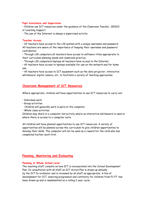#### **Pupil Assistance and Supervision**

• Children use ICT resources under the guidance of the Classroom Teacher, SENCO or Learning Support.

• The use of the Internet is always a supervised activity

#### **Teacher Access**

• All teachers have access to the c2K system with a unique username and password. All teachers are aware of the importance of keeping their username and password confidential.

• Through c2K computers all teachers have access to software titles appropriate to their curriculum planning needs and classroom practice.

• Through c2K computers/laptops all teachers have access to the Internet.

• All teachers have access to laptops available for use on the network and for home use.

• All teachers have access to ICT equipment such as the data projector, interactive whiteboard, digital camera, etc. to facilitate a variety of teaching approaches.

## **Classroom Management of ICT Resources**

Where appropriate, children will have opportunities to use ICT resources to carry out:

- Individual work
- Group activities
- Children will generally work in pairs at the computer.
- Whole class activities

Children may share in a computer-led activity where an interactive whiteboard is used or where there is access to a computer suite.

All children will have planned opportunities to use ICT resources. A variety of opportunities will be planned across the curriculum to give children opportunities to develop their skills. The computer will not be used as a reward for the child who has completed his/her work first.

## **Planning, Monitoring and Evaluating**

#### **Planning at Whole School Level**

The teaching staff consults on how ICT is incorporated into the School Development Plan. In consultation with all staff an ICT Action Plan is drawn up annually by the ICT Co-ordinator and is reviewed by all staff as appropriate. A line of development for ICT, ensuring progression and continuity for children from P1-P7, has been drawn up and is implemented on a rolling 2 year cycle.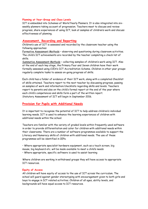#### **Planning at Year-Group and Class Levels**

ICT is embedded into Schemes of Work/Yearly Planners. It is also integrated into sixweekly planners taking account of progression. Teachers meet to discuss and review progress, share experiences of using ICT, look at samples of children's work and discuss effectiveness of planning.

## **Assessment, Recording and Reporting**

Children's use of ICT is assessed and recorded by the classroom teacher using the following approaches:

Formative Assessment Methods – observing and questioning during classroom activities. The child's ICT achievements are recorded by the teacher completing a check list of skills.

Summative Assessment Methods – collecting samples of children's work using ICT. Also at the end of each key stage, the Primary Four and Seven children have their work formally assessed using CCEA's ICT Accreditation Scheme. Children in other year groups regularly complete tasks to assess on-going progress of skills.

Each child has a folder of evidence of their ICT work, along with a completed Checklist of skills attained. Teachers report to the next teacher by discussing progress, passing on samples of work and information/checklists regarding skills and levels. Teachers report to parents and also on the child's formal report at the end of the year where each child's competences and skills form a part of the written report. Statutory Assessment of ICT will begin in September 2016.

## **Provision for Pupils with Additional Needs**

It is important to recognise the potential of ICT to help address children's individual learning needs. ICT is used to enhance the learning experiences of children with additional needs within the school.

Teachers are familiar with the variety of graded levels within frequently used software in order to provide differentiation and cater for children with additional needs within their classrooms. There are a number of software programmes available to support the Literacy and Numeracy skills of children with additional needs. The use of these programmes will be identified in IEPs.

• Where appropriate specialist hardware equipment, such as a touch screen, big mouse, big keyboard etc. will be made available to meet a child's needs • Where appropriate, specific software is used to assist learning

Where children are working in withdrawal groups they will have access to appropriate ICT resources.

#### **Equity of Access**

All children will have equity of access to the use of ICT across the curriculum. The school will guard against gender stereotyping with encouragement given to both girls and boys to engage in ICT related activities. Children of all ages, ability levels, and backgrounds will have equal access to ICT resources.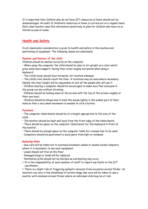It is important that children who do not have ICT resources at home should not be disadvantaged. An audit of children's resources at home is carried out on a regular basis. Each class teacher uses this information sensitively to plan for children who have no or limited access at home.

# **Health and Safety**

In all classrooms consideration is given to health and safety in the location and positioning of equipment. The following issues are addressed:

#### **Position and Posture of the child**

Children should be seated correctly at the computer:

• When using the computer the child should be able to sit upright on a chair which gives some back support, having their arms roughly horizontal when using a keyboard.

• The child's body should face forwards, not twisted sideways.

• The child's feet should reach the floor. A footstool may be used where necessary.

Ideally the chair height will be adjustable to suit all the people who will use it.

• Children sharing a computer should be encouraged to make sure that everyone in the group can see without straining.

• Children should be looking down at the screen with the top of the screen roughly at their eye level.

• Children should be shown how to hold the mouse lightly in the widest part of their hand so that a very small movement is needed to click a button.

#### **Furniture**

• The computer table/bench should be of a height appropriate to the size of the child.

• The monitor should be kept well back from the front edge of the table/bench.

• There should be space on the computer table/bench for the keyboard in front of the monitor.

• There should be enough space on the computer table for a mouse mat to be used.

• Computers should be positioned to avoid glare from light or windows.

#### **Reducing Risks**

• Due care will be taken not to overload extension cables or double socket adapters where it is necessary to use such equipment.

- Leads should not trail on the floor.
- Damaged plugs or leads will be replaced.
- Ventilation grills should not be blocked as overheating may occur.
- It is the responsibility of each member of staff to report any faults to the ICT coordinator.

 There is a slight risk of triggering epileptic seizures from excessive screen flicker. As monitors can vary in the steadiness of screen image due care will be taken to use a monitor with minimum screen flicker where an individual child may be at risk.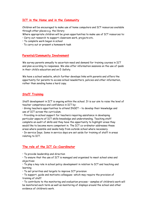# **ICT in the Home and in the Community**

Children will be encouraged to make use of home computers and ICT resources available through other places e.g. the library

Where appropriate children will be given opportunities to make use of ICT resources to: • Carry out research to support classroom work, projects etc.

- To complete work begun in school
- · To carry out or present a homework task

## **Parental/Community Involvement**

We survey parents annually to ascertain need and demand for training courses in ICT and plan according to responses. We also offer information sessions on the use of ipads in their child's education and on E-Safety.

We have a school website, which further develops links with parents and offers the opportunity for parents to access school newsletters, policies and other information, rather than sending home a hard copy.

## **Staff Training**

Staff development in ICT is ongoing within the school. It is our aim to raise the level of teacher competence and confidence in ICT by:

• Giving teachers opportunities to attend INSET – to develop their knowledge and use of ICT across the curriculum.

• Providing in–school support for teachers requiring assistance in developing particular aspects of ICT skills knowledge and understanding. Teaching staff complete an audit of skills and they have the opportunity to highlight areas they would like to become more competent in. The ICT co-ordinator addresses these areas where possible and seeks help from outside school where necessary.

• In-service Days. Some in service days are set aside for training of staff in areas relating to ICT.

# **The role of the ICT Co-Coordinator**

• To provide leadership and direction

• To ensure that the use of ICT is managed and organised to meet school aims and objectives

• To play a key role in school policy development in relation to ICT and teaching and learning

• To set priorities and targets to improve ICT provision

• To support, guide and motivate colleagues -which may require the provision of training of staff

• To contribute to the monitoring and evaluation process – samples of children's work will be monitored each term as well as monitoring of displays around the school and other evidence of children's work.